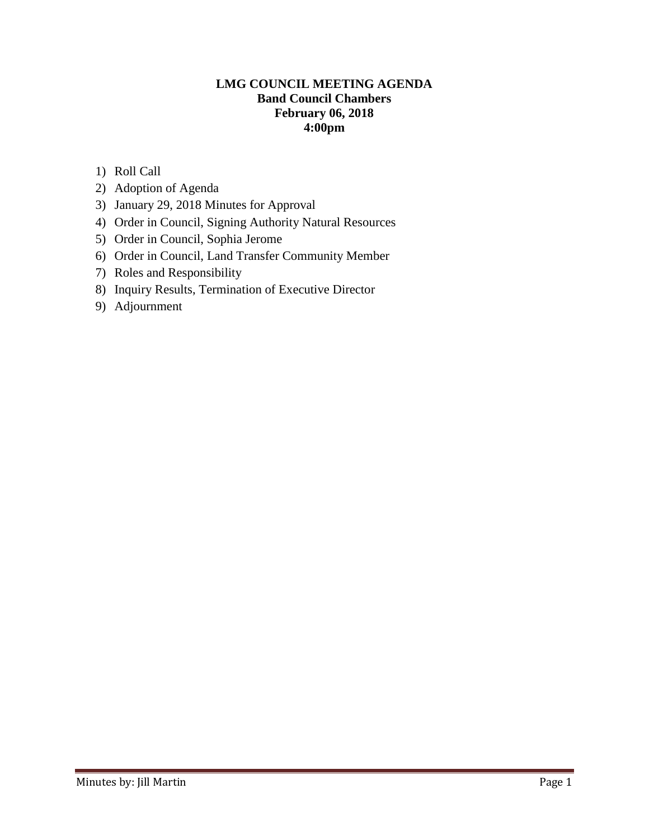#### **LMG COUNCIL MEETING AGENDA Band Council Chambers February 06, 2018 4:00pm**

- 1) Roll Call
- 2) Adoption of Agenda
- 3) January 29, 2018 Minutes for Approval
- 4) Order in Council, Signing Authority Natural Resources
- 5) Order in Council, Sophia Jerome
- 6) Order in Council, Land Transfer Community Member
- 7) Roles and Responsibility
- 8) Inquiry Results, Termination of Executive Director
- 9) Adjournment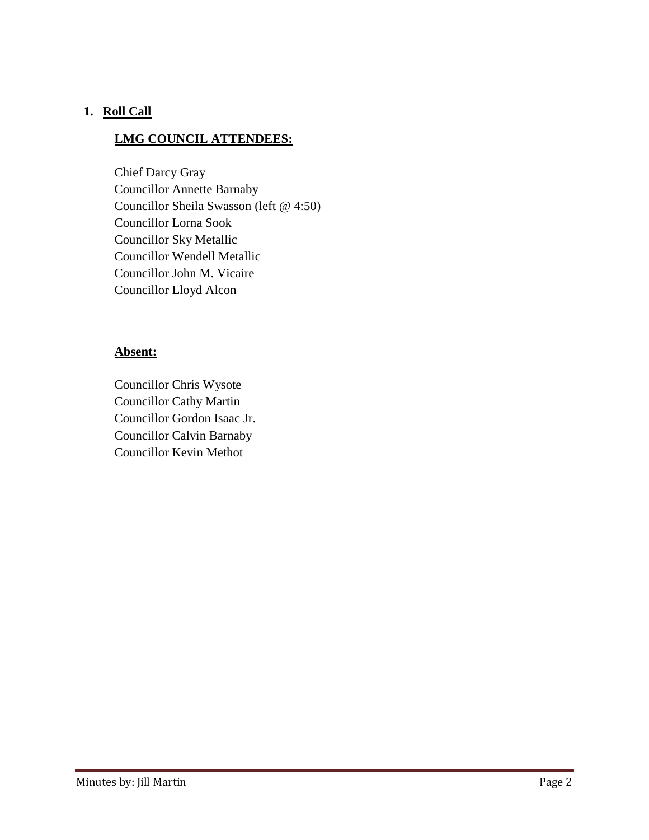## **1. Roll Call**

#### **LMG COUNCIL ATTENDEES:**

Chief Darcy Gray Councillor Annette Barnaby Councillor Sheila Swasson (left @ 4:50) Councillor Lorna Sook Councillor Sky Metallic Councillor Wendell Metallic Councillor John M. Vicaire Councillor Lloyd Alcon

## **Absent:**

Councillor Chris Wysote Councillor Cathy Martin Councillor Gordon Isaac Jr. Councillor Calvin Barnaby Councillor Kevin Methot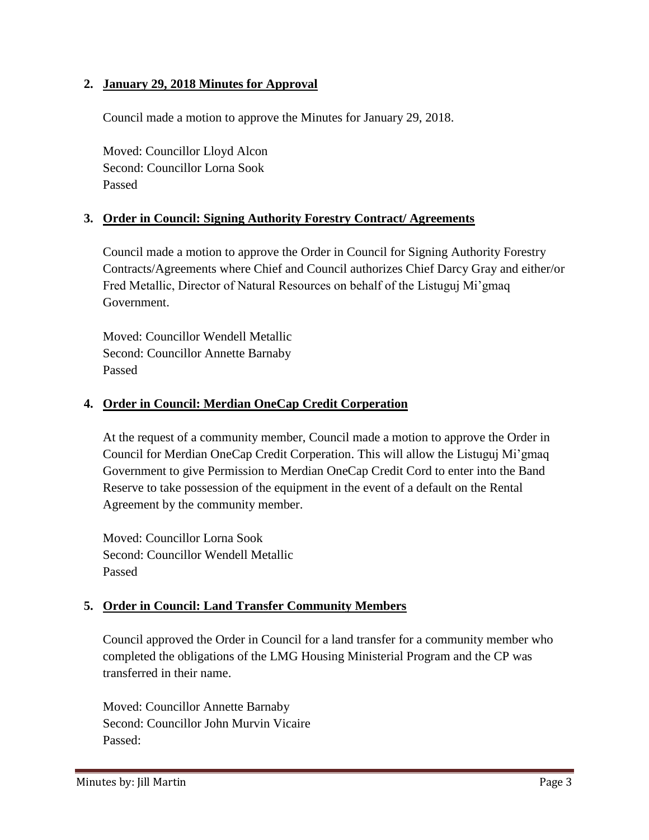### **2. January 29, 2018 Minutes for Approval**

Council made a motion to approve the Minutes for January 29, 2018.

Moved: Councillor Lloyd Alcon Second: Councillor Lorna Sook Passed

## **3. Order in Council: Signing Authority Forestry Contract/ Agreements**

Council made a motion to approve the Order in Council for Signing Authority Forestry Contracts/Agreements where Chief and Council authorizes Chief Darcy Gray and either/or Fred Metallic, Director of Natural Resources on behalf of the Listuguj Mi'gmaq Government.

Moved: Councillor Wendell Metallic Second: Councillor Annette Barnaby Passed

## **4. Order in Council: Merdian OneCap Credit Corperation**

At the request of a community member, Council made a motion to approve the Order in Council for Merdian OneCap Credit Corperation. This will allow the Listuguj Mi'gmaq Government to give Permission to Merdian OneCap Credit Cord to enter into the Band Reserve to take possession of the equipment in the event of a default on the Rental Agreement by the community member.

Moved: Councillor Lorna Sook Second: Councillor Wendell Metallic Passed

# **5. Order in Council: Land Transfer Community Members**

Council approved the Order in Council for a land transfer for a community member who completed the obligations of the LMG Housing Ministerial Program and the CP was transferred in their name.

Moved: Councillor Annette Barnaby Second: Councillor John Murvin Vicaire Passed: